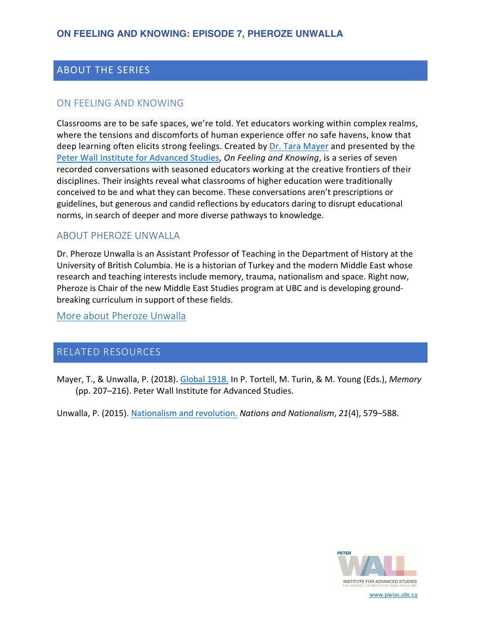# ABOUT THE SERIES

### ON FEELING AND KNOWING

Classrooms are to be safe spaces, we're told. Yet educators working within complex realms, where the tensions and discomforts of human experience offer no safe havens, know that deep learning often elicits strong feelings. Created by [Dr. Tara Mayer](https://pwias.ubc.ca/community/tara-mayer/) and presented by the [Peter Wall Institute for Advanced Studies,](https://pwias.ubc.ca/) *On Feeling and Knowing*, is a series of seven recorded conversations with seasoned educators working at the creative frontiers of their disciplines. Their insights reveal what classrooms of higher education were traditionally conceived to be and what they can become. These conversations aren't prescriptions or guidelines, but generous and candid reflections by educators daring to disrupt educational norms, in search of deeper and more diverse pathways to knowledge.

### ABOUT PHEROZE UNWALLA

Dr. Pheroze Unwalla is an Assistant Professor of Teaching in the Department of History at the University of British Columbia. He is a historian of Turkey and the modern Middle East whose research and teaching interests include memory, trauma, nationalism and space. Right now, Pheroze is Chair of the new Middle East Studies program at UBC and is developing groundbreaking curriculum in support of these fields.

[More about Pheroze Unwalla](https://history.ubc.ca/profile/pheroze-unwalla/)

### RELATED RESOURCES

Mayer, T., & Unwalla, P. (2018). [Global 1918.](https://www.jstor.org/stable/j.ctvbtzpfm.27) In P. Tortell, M. Turin, & M. Young (Eds.), *Memory* (pp. 207–216). Peter Wall Institute for Advanced Studies.

Unwalla, P. (2015). [Nationalism and revolution.](https://onlinelibrary.wiley.com/doi/10.1111/nana.12134) *Nations and Nationalism*, *21*(4), 579–588.



www.pwias.ubc.ca